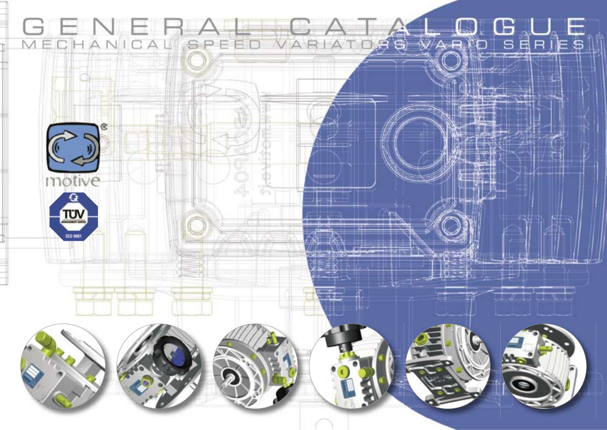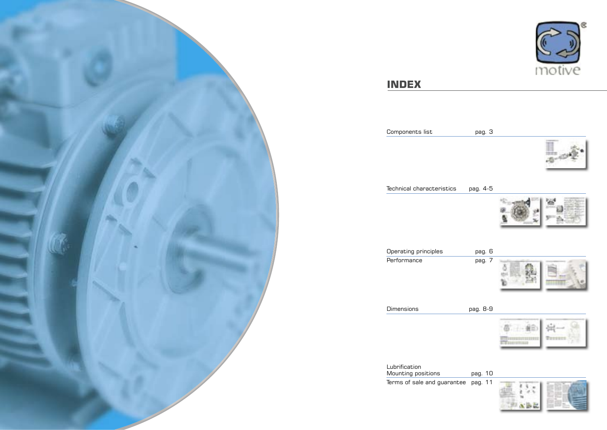



# **INDEX**



a.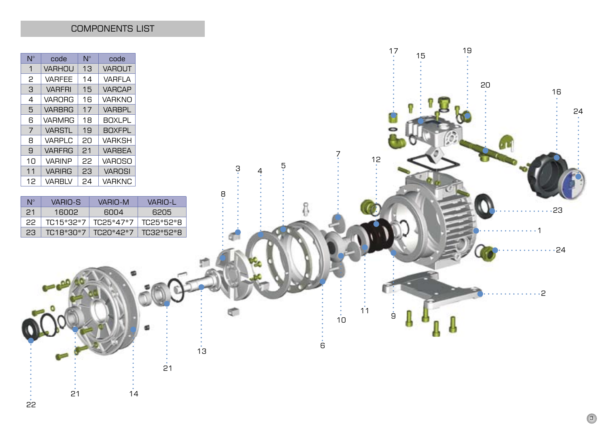COMPONENTS LIST

| $N^{\circ}$ | code          | Ν° | code          |
|-------------|---------------|----|---------------|
| 1           | <b>VARHOU</b> | 13 | <b>VAROUT</b> |
| 2           | <b>VARFEE</b> | 14 | <b>VARFLA</b> |
| З           | <b>VARFRI</b> | 15 | <b>VARCAP</b> |
| 4           | <b>VARORG</b> | 16 | <b>VARKNO</b> |
| 5           | <b>VARBRG</b> | 17 | <b>VARBPL</b> |
| ട           | VARMRG        | 18 | <b>BOXLPL</b> |
| 7           | <b>VARSTL</b> | 19 | <b>BOXFPL</b> |
| 8           | VARPLC        | 20 | <b>VARKSH</b> |
| $\Theta$    | <b>VARFRG</b> | 21 | <b>VARBEA</b> |
| 10          | <b>VARINP</b> | 22 | <b>VAROSO</b> |
| 11          | <b>VARIRG</b> | 23 | <b>VAROSI</b> |
| 12          | <b>VARBIV</b> | 24 | <b>VARKNC</b> |

 $\frac{1}{22}$ 

| N° | VARIO-S   | VARIO-M   | VARIO-L   |
|----|-----------|-----------|-----------|
| 21 | 16002     | 6004      | 6205      |
| 22 | TC15*32*7 | TC25*47*7 | TC25*52*8 |
| 23 | TC18*30*7 | TC20*42*7 | TC32*52*8 |

 $\overrightarrow{21}$   $\overrightarrow{14}$ 

 $\frac{1}{21}$ 

 $\frac{1}{13}$ 

 $\begin{array}{cc} 17 & 15 & 19 \\ 3 & 15 & 19 \\ 1 & 19 & 19 \\ 2 & 19 & 19 \\ 3 & 3 & 19 \\ 3 & 3 & 19 \\ 3 & 3 & 19 \\ 3 & 3 & 19 \\ 3 & 3 & 19 \\ 3 & 3 & 19 \\ 3 & 3 & 19 \\ 3 & 3 & 19 \\ 3 & 3 & 19 \\ 3 & 3 & 19 \\ 3 & 3 & 19 \\ 3 & 3 & 19 \\ 3 & 3 & 19 \\ 3 & 3 & 19 \\ 3 & 3 & 19 \\ 3 & 3 & 19 \\ 3 & 3 & 1$ 20 16 24 7 12  $\frac{3}{4}$   $\frac{5}{4}$ 8  $\bullet$ ....23 11111  $\cdots$  24 . . . . . . . . 2 11  $\frac{1}{10}$  $\dot{9}$ ÷ G 6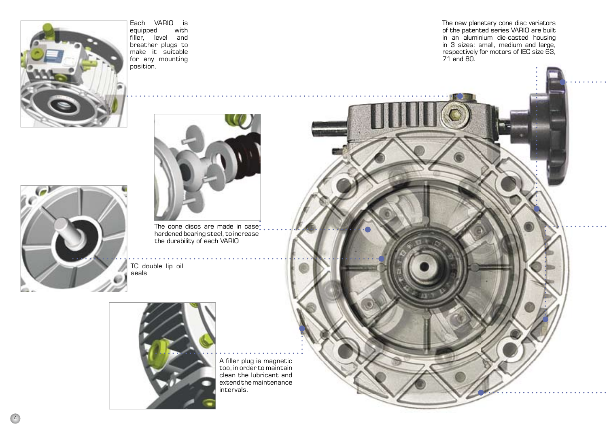

Each VARIO is<br>equipped with equipped filler, level and breather plugs to make it suitable for any mounting position.

The new planetary cone disc variators of the patented series VARIO are built in an aluminium die-casted housing in 3 sizes: small, medium and large, respectively for motors of IEC size 63, 71 and 80.





The cone discs are made in case hardened bearing steel, to increase the durability of each VARIO

TC double lip oil seals



A filler plug is magnetic too, in order to maintain clean the lubricant and extend the maintenance intervals.

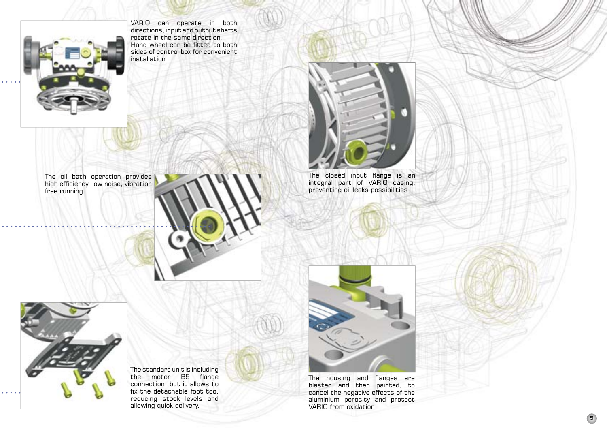installation

VARIO can operate in both directions, input and output shafts rotate in the same direction. Hand wheel can be fitted to both sides of control box for convenient



The oil bath operation provides high efficiency, low noise, vibration free running





The closed input flange is an integral part of VARIO casing, preventing oil leaks possibilities



The standard unit is including the motor B5 flange connection, but it allows to fix the detachable foot too, reducing stock levels and allowing quick delivery.



The housing and flanges are blasted and then painted, to cancel the negative effects of the aluminium porosity and protect VARIO from oxidation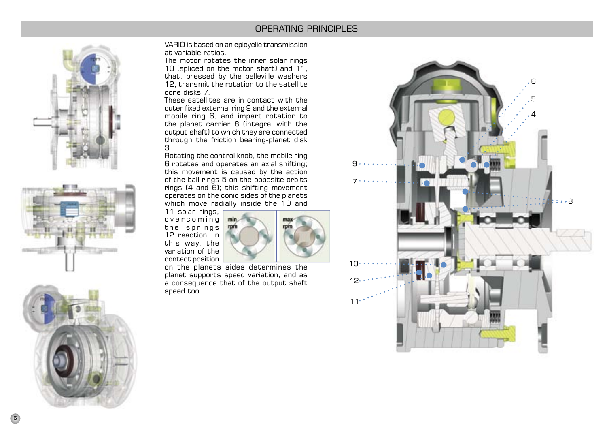### OPERATING PRINCIPLES







VARIO is based on an epicyclic transmission at variable ratios.

The motor rotates the inner solar rings 10 (spliced on the motor shaft) and 11, that, pressed by the belleville washers 12, transmit the rotation to the satellite cone disks 7.

These satellites are in contact with the outer fixed external ring 9 and the external mobile ring 6, and impart rotation to the planet carrier 8 (integral with the output shaft) to which they are connected through the friction bearing-planet disk 3.

Rotating the control knob, the mobile ring 6 rotates and operates an axial shifting; this movement is caused by the action of the ball rings 5 on the opposite orbits rings (4 and 6); this shifting movement operates on the conic sides of the planets which move radially inside the 10 and

11 solar rings, overcoming the springs 12 reaction. In this way, the variation of the contact position



on the planets sides determines the planet supports speed variation, and as a consequence that of the output shaft speed too.

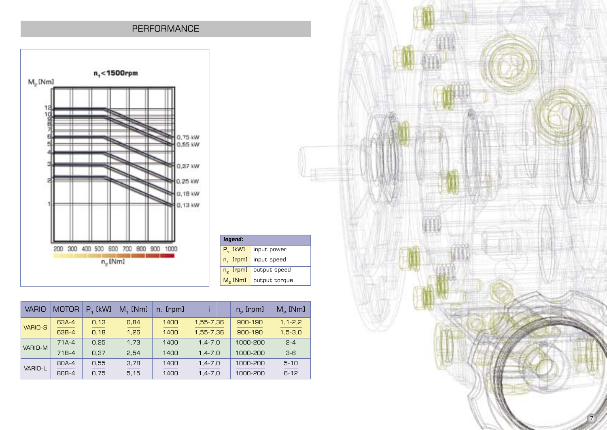### PERFORMANCE



| legend:              |               |
|----------------------|---------------|
| $P_{1}$ [kW]         | input power   |
| $n_1$ [rpm]          | input speed   |
| n <sub>2</sub> [rpm] | output speed  |
| $M2$ [Nm]            | output torque |
|                      |               |

| <b>VARIO</b>   | <b>MOTOR</b> | [kW]<br>P | $M4$ [Nm] | $n1$ [rpm] |               | $n_{\circ}$ [rpm] | $M2$ [Nm]     |
|----------------|--------------|-----------|-----------|------------|---------------|-------------------|---------------|
| <b>VARIO-S</b> | 63A-4        | 0.13      | 0.84      | 1400       | 1.55-7.36     | $900 - 190$       | $1, 1 - 2, 2$ |
|                | 63B-4        | 0.18      | 1.26      | 1400       | 1.55-7.36     | $900 - 190$       | $1.5 - 3.0$   |
| VARIO-M        | $71A-4$      | 0,25      | 1,73      | 1400       | $1,4 - 7,0$   | 1000-200          | $2 - 4$       |
|                | $71B-4$      | 0.37      | 2.54      | 1400       | $1.4 - 7.0$   | 1000-200          | $3-6$         |
| VARIO-L        | 80A-4        | 0,55      | 3,78      | 1400       | $1,4 - 7,0$   | 1000-200          | $5 - 10$      |
|                | 80B-4        | 0.75      | 5,15      | 1400       | $1, 4 - 7, 0$ | 1000-200          | $6 - 12$      |

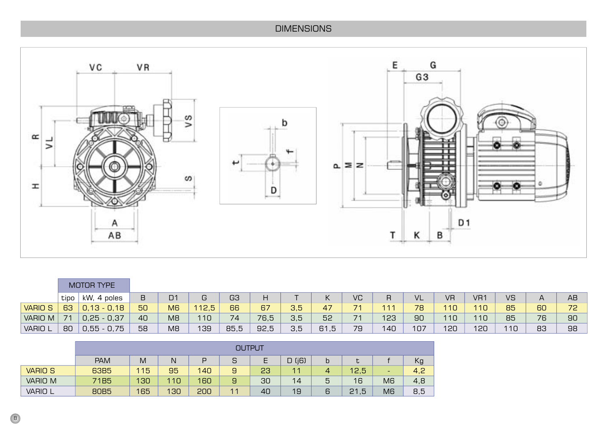## **DIMENSIONS**



|                | MOTOR TYPE |                 |    |                |       |      |      |     |      |    |     |     |           |                 |           |                |          |
|----------------|------------|-----------------|----|----------------|-------|------|------|-----|------|----|-----|-----|-----------|-----------------|-----------|----------------|----------|
|                | tipo       | kW, 4 poles     | B  | D1             | G     | G3   | Η    |     | К    | VC | R   | VL  | <b>VR</b> | VR <sub>1</sub> | <b>VS</b> | $\overline{A}$ | AB       |
| <b>VARIO S</b> | 63         | $0,13 - 0,18$   | 50 | M <sub>6</sub> | 112,5 | 66   | 67   | 3,5 | 47   | 71 | 111 | 78  | 110       | 110             | 85        | 60             | 72<br>-- |
| VARIO M        | 74         | $0,25 - 0,37$   | 40 | M <sub>8</sub> | 10    | 74   | 76,5 | 3,5 | 52   | 71 | 123 | 90  | 110       | 110             | 85        | 76             | 90       |
| <b>VARIO L</b> | 80         | $-0,75$<br>0,55 | 58 | M <sub>8</sub> | 139   | 85,5 | 92,5 | 3,5 | 61,5 | 79 | 140 | 107 | 120       | 120             | 110       | 83             | 98       |

|                | <b>OUTPUT</b> |     |     |     |                |    |                |   |           |    |     |
|----------------|---------------|-----|-----|-----|----------------|----|----------------|---|-----------|----|-----|
|                | <b>PAM</b>    | M   | N   | D   | S              |    | (i6)<br>D      | b |           |    | Кg  |
| <b>VARIO S</b> | 63B5          | 115 | 95  | 140 | 9              | 23 | 1 <sub>1</sub> |   | 12,5      | -  | 4,2 |
| vario m        | 71B5          | 130 | 110 | 160 | 9              | 30 | 14             | 5 | 16        | M6 | 4,8 |
| <b>VARIO L</b> | 80B5          | 165 | 130 | 200 | 1 <sub>1</sub> | 40 | 19             | 6 | , 5<br>21 | M6 | 8,5 |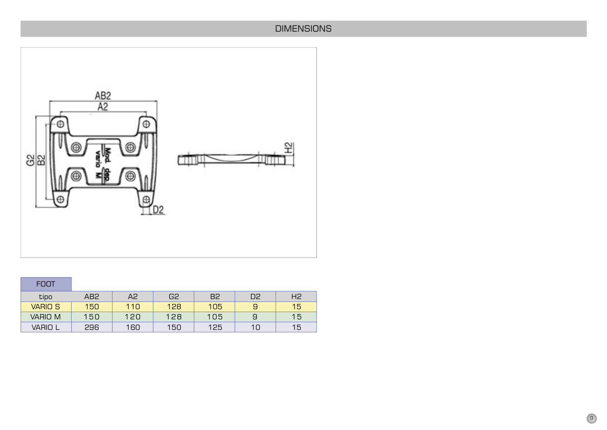## **DIMENSIONS**



| <b>FOOT</b>    |     |     |     |                |                |    |
|----------------|-----|-----|-----|----------------|----------------|----|
| tipo           | AB2 | Α2  | G2  | B <sub>2</sub> | D <sub>2</sub> | H2 |
| <b>VARIO S</b> | 150 | 110 | 128 | 105            | 9              | 15 |
| VARIO M        | 150 | 120 | 128 | 105            | 9              | 15 |
| VARIO L        | 296 | 160 | 150 | 125            | 10             | 15 |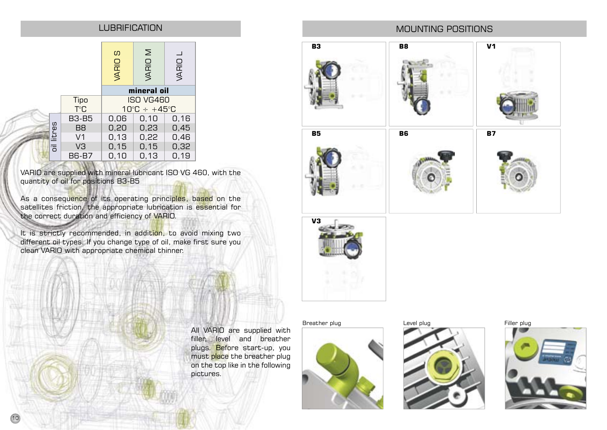### LUBRIFICATION

|            |                | ပာ<br>VARIO      | Σ<br><b>VARIO</b>                 | VARIO |  |  |
|------------|----------------|------------------|-----------------------------------|-------|--|--|
|            |                |                  | mineral oil                       |       |  |  |
|            | Tipo           | <b>ISO VG460</b> |                                   |       |  |  |
|            | T°C            |                  | $10^{\circ}$ C ÷ +45 $^{\circ}$ C |       |  |  |
|            | <b>B3-B5</b>   | 0,06             | 0,10                              | 0,16  |  |  |
|            | B <sub>8</sub> | 0,20             | 0,23                              | 0,45  |  |  |
|            | V <sub>1</sub> | 0,13             | 0,22                              | 0,46  |  |  |
| oil litres | VЗ             | 0, 15            | 0, 15                             | 0,32  |  |  |
|            | <b>B6-B7</b>   | 0,10             | 0, 13                             | 0, 19 |  |  |

VARIO are supplied with mineral lubricant ISO VG 460, with the quantity of oil for positions B3-B5

As a consequence of its operating principles, based on the satellites friction, the appropriate lubrication is essential for the correct duration and efficiency of VARIO.

It is strictly recommended, in addition, to avoid mixing two different oil types. If you change type of oil, make first sure you clean VARIO with appropriate chemical thinner.

## MOUNTING POSITIONS







All VARIO are supplied with filler, level and breather plugs. Before start-up, you must place the breather plug on the top like in the following

pictures.







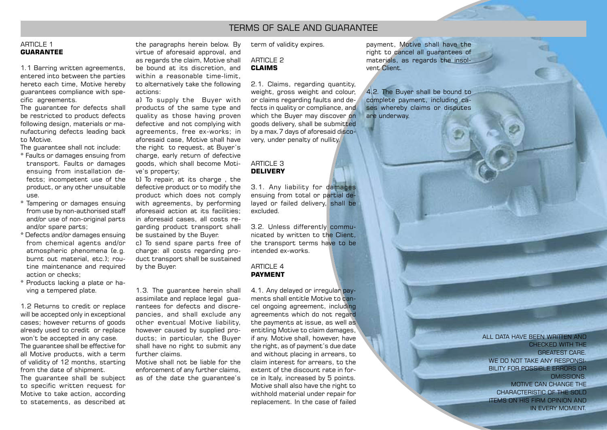### TERMS OF SALE AND GUARANTEE

#### ARTICLE 1 **GUARANTEE**

1.1 Barring written agreements, entered into between the parties hereto each time, Motive hereby guarantees compliance with specific agreements.

The guarantee for defects shall be restricted to product defects following design, materials or manufacturing defects leading back to Motive.

The guarantee shall not include:

- \* Faults or damages ensuing from transport. Faults or damages ensuing from installation defects; incompetent use of the product, or any other unsuitable use.
- \* Tampering or damages ensuing from use by non-authorised staff and/or use of non-original parts and/or spare parts;
- \* Defects and/or damages ensuing from chemical agents and/or atmospheric phenomena (e.g. burnt out material, etc.); routine maintenance and required action or checks;
- \* Products lacking a plate or having a tempered plate.

1.2 Returns to credit or replace will be accepted only in exceptional cases; however returns of goods already used to credit or replace won't be accepted in any case. The guarantee shall be effective for all Motive products, with a term of validity of 12 months, starting from the date of shipment.

The guarantee shall be subject to specific written request for Motive to take action, according to statements, as described at

the paragraphs herein below. By virtue of aforesaid approval, and as regards the claim, Motive shall be bound at its discretion, and within a reasonable time-limit. to alternatively take the following actions:

a) To supply the Buyer with products of the same type and quality as those having proven defective and not complying with agreements, free ex-works; in aforesaid case, Motive shall have the right to request, at Buyer's charge, early return of defective goods, which shall become Motive's property;

b) To repair, at its charge , the defective product or to modify the product which does not comply with agreements, by performing aforesaid action at its facilities; in aforesaid cases, all costs regarding product transport shall be sustained by the Buyer.

c) To send spare parts free of charge: all costs regarding product transport shall be sustained by the Buyer.

1.3. The guarantee herein shall assimilate and replace legal guarantees for defects and discrepancies, and shall exclude any other eventual Motive liability, however caused by supplied products; in particular, the Buyer shall have no right to submit any further claims.

Motive shall not be liable for the enforcement of any further claims, as of the date the guarantee's term of validity expires.

### ARTICLE 2 **CLAIMS**

2.1. Claims, regarding quantity, weight, gross weight and colour, or claims regarding faults and defects in quality or compliance, and which the Buyer may discover on goods delivery, shall be submitted by a max.7 days of aforesaid discovery, under penalty of nullity.

#### ARTICLE 3 **DELIVERY**

3.1. Any liability for damages ensuing from total or partial delayed or failed delivery, shall be excluded.

3.2. Unless differently communicated by written to the Client, the transport terms have to be intended ex-works.

#### $ARTICI F 4$ **PAYMENT**

4.1. Any delayed or irregular payments shall entitle Motive to cancel ongoing agreement, including agreements which do not regard the payments at issue, as well as entitling Motive to claim damages, if any. Motive shall, however, have the right, as of payment's due date and without placing in arrears, to claim interest for arrears, to the extent of the discount rate in force in Italy, increased by 5 points. Motive shall also have the right to withhold material under repair for replacement. In the case of failed

payment, Motive shall have the right to cancel all guarantees of materials, as regards the insolvent Client.

4.2. The Buyer shall be bound to complete payment, including cases whereby claims or disputes are underway.

#### ALL DATA HAVE BEEN WRITTEN AND

CHECKED WITH THE GREATEST CARE. WE DO NOT TAKE ANY RESPONSI-BILITY FOR POSSIBLE ERRORS OR OMISSIONS. MOTIVE CAN CHANGE THE CHARACTERISTIC OF THE SOLD ITEMS ON HIS FIRM OPINION AND IN EVERY MOMENT.